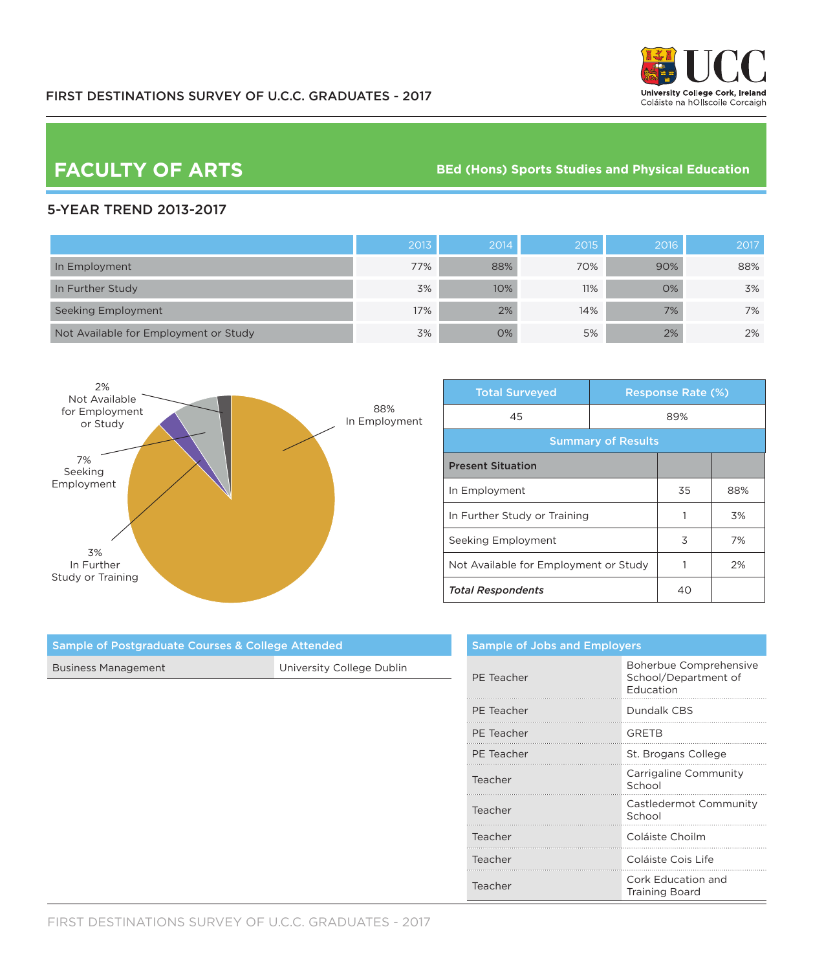

**FACULTY OF ARTS BED (Hons)** Sports Studies and Physical Education

## 5-YEAR TREND 2013-2017

|                                       | 2013 | 2014 | 2015 | 2016 | 2017 |
|---------------------------------------|------|------|------|------|------|
| In Employment                         | 77%  | 88%  | 70%  | 90%  | 88%  |
| In Further Study                      | 3%   | 10%  | 11%  | O%   | 3%   |
| Seeking Employment                    | 17%  | 2%   | 14%  | 7%   | 7%   |
| Not Available for Employment or Study | 3%   | 0%   | 5%   | 2%   | 2%   |



| <b>Total Surveyed</b>                 |  | <b>Response Rate (%)</b> |     |  |
|---------------------------------------|--|--------------------------|-----|--|
| 45                                    |  | 89%                      |     |  |
| <b>Summary of Results</b>             |  |                          |     |  |
| <b>Present Situation</b>              |  |                          |     |  |
| In Employment                         |  | 35                       | 88% |  |
| In Further Study or Training          |  |                          | 3%  |  |
| Seeking Employment                    |  | 3                        | 7%  |  |
| Not Available for Employment or Study |  |                          | 2%  |  |
| <b>Total Respondents</b>              |  | 40                       |     |  |

|            | <b>Sample of Jobs and Employers</b>                         |  |  |
|------------|-------------------------------------------------------------|--|--|
| PE Teacher | Boherbue Comprehensive<br>School/Department of<br>Education |  |  |
| PE Teacher | Dundalk CBS                                                 |  |  |
| PE Teacher | <b>GRETB</b>                                                |  |  |
| PE Teacher | St. Brogans College                                         |  |  |
| Teacher    | Carrigaline Community<br>School                             |  |  |
| Teacher    | Castledermot Community<br>School                            |  |  |
| Teacher    | Coláiste Choilm                                             |  |  |
| Teacher    | Coláiste Cois Life                                          |  |  |
| Teacher    | Cork Education and<br><b>Training Board</b>                 |  |  |

| <b>Business Management</b> | University College Dublin |
|----------------------------|---------------------------|
|                            |                           |
|                            |                           |
|                            |                           |
|                            |                           |
|                            |                           |
|                            |                           |
|                            |                           |
|                            |                           |
|                            |                           |

Sample of Postgraduate Courses & College Attended